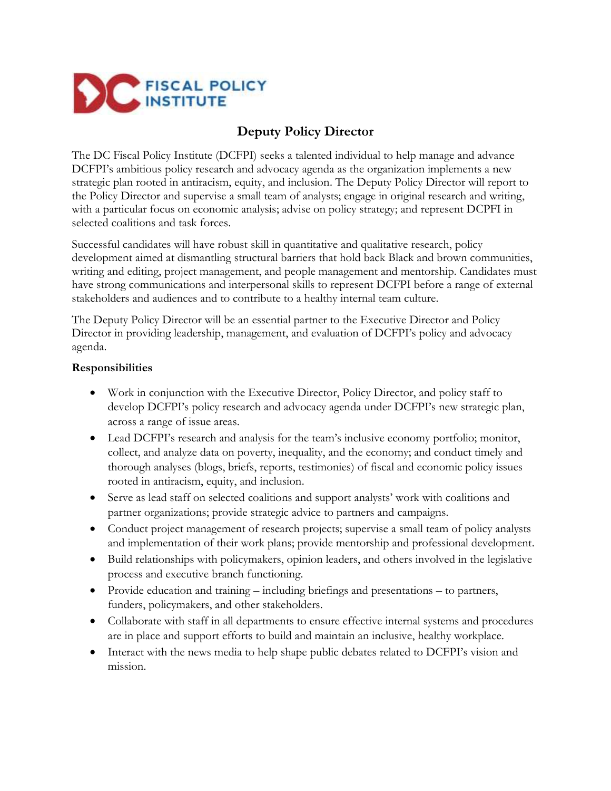

# **Deputy Policy Director**

The DC Fiscal Policy Institute (DCFPI) seeks a talented individual to help manage and advance DCFPI's ambitious policy research and advocacy agenda as the organization implements a new strategic plan rooted in antiracism, equity, and inclusion. The Deputy Policy Director will report to the Policy Director and supervise a small team of analysts; engage in original research and writing, with a particular focus on economic analysis; advise on policy strategy; and represent DCPFI in selected coalitions and task forces.

Successful candidates will have robust skill in quantitative and qualitative research, policy development aimed at dismantling structural barriers that hold back Black and brown communities, writing and editing, project management, and people management and mentorship. Candidates must have strong communications and interpersonal skills to represent DCFPI before a range of external stakeholders and audiences and to contribute to a healthy internal team culture.

The Deputy Policy Director will be an essential partner to the Executive Director and Policy Director in providing leadership, management, and evaluation of DCFPI's policy and advocacy agenda.

#### **Responsibilities**

- Work in conjunction with the Executive Director, Policy Director, and policy staff to develop DCFPI's policy research and advocacy agenda under DCFPI's new strategic plan, across a range of issue areas.
- Lead DCFPI's research and analysis for the team's inclusive economy portfolio; monitor, collect, and analyze data on poverty, inequality, and the economy; and conduct timely and thorough analyses (blogs, briefs, reports, testimonies) of fiscal and economic policy issues rooted in antiracism, equity, and inclusion.
- Serve as lead staff on selected coalitions and support analysts' work with coalitions and partner organizations; provide strategic advice to partners and campaigns.
- Conduct project management of research projects; supervise a small team of policy analysts and implementation of their work plans; provide mentorship and professional development.
- Build relationships with policymakers, opinion leaders, and others involved in the legislative process and executive branch functioning.
- Provide education and training including briefings and presentations to partners, funders, policymakers, and other stakeholders.
- Collaborate with staff in all departments to ensure effective internal systems and procedures are in place and support efforts to build and maintain an inclusive, healthy workplace.
- Interact with the news media to help shape public debates related to DCFPI's vision and mission.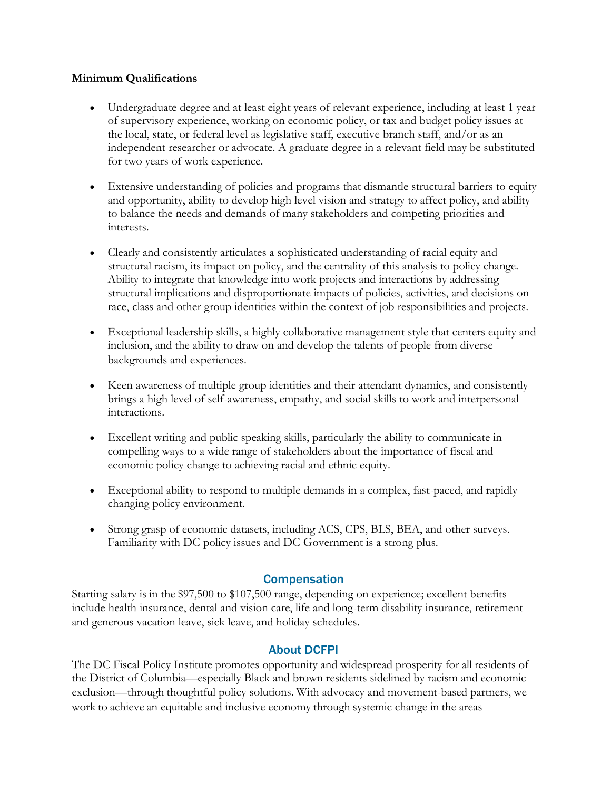### **Minimum Qualifications**

- Undergraduate degree and at least eight years of relevant experience, including at least 1 year of supervisory experience, working on economic policy, or tax and budget policy issues at the local, state, or federal level as legislative staff, executive branch staff, and/or as an independent researcher or advocate. A graduate degree in a relevant field may be substituted for two years of work experience.
- Extensive understanding of policies and programs that dismantle structural barriers to equity and opportunity, ability to develop high level vision and strategy to affect policy, and ability to balance the needs and demands of many stakeholders and competing priorities and interests.
- Clearly and consistently articulates a sophisticated understanding of racial equity and structural racism, its impact on policy, and the centrality of this analysis to policy change. Ability to integrate that knowledge into work projects and interactions by addressing structural implications and disproportionate impacts of policies, activities, and decisions on race, class and other group identities within the context of job responsibilities and projects.
- Exceptional leadership skills, a highly collaborative management style that centers equity and inclusion, and the ability to draw on and develop the talents of people from diverse backgrounds and experiences.
- Keen awareness of multiple group identities and their attendant dynamics, and consistently brings a high level of self-awareness, empathy, and social skills to work and interpersonal interactions.
- Excellent writing and public speaking skills, particularly the ability to communicate in compelling ways to a wide range of stakeholders about the importance of fiscal and economic policy change to achieving racial and ethnic equity.
- Exceptional ability to respond to multiple demands in a complex, fast-paced, and rapidly changing policy environment.
- Strong grasp of economic datasets, including ACS, CPS, BLS, BEA, and other surveys. Familiarity with DC policy issues and DC Government is a strong plus.

## **Compensation**

Starting salary is in the \$97,500 to \$107,500 range, depending on experience; excellent benefits include health insurance, dental and vision care, life and long-term disability insurance, retirement and generous vacation leave, sick leave, and holiday schedules.

## About DCFPI

The DC Fiscal Policy Institute promotes opportunity and widespread prosperity for all residents of the District of Columbia—especially Black and brown residents sidelined by racism and economic exclusion—through thoughtful policy solutions. With advocacy and movement-based partners, we work to achieve an equitable and inclusive economy through systemic change in the areas